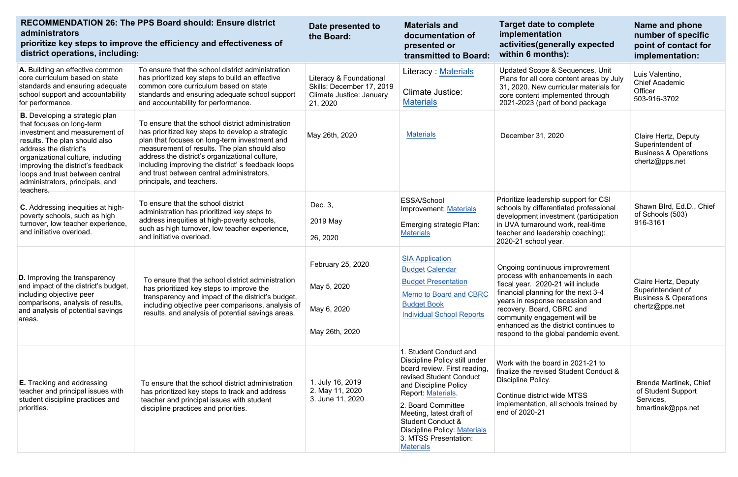| <b>RECOMMENDATION 26: The PPS Board should: Ensure district</b><br>administrators<br>prioritize key steps to improve the efficiency and effectiveness of<br>district operations, including:                                                                                                                                 |                                                                                                                                                                                                                                                                                                                                                                                         | Date presented to<br>the Board:                                                              | <b>Materials and</b><br>documentation of<br>presented or<br>transmitted to Board:                                                                                                                                                                                                                                                       | <b>Target date to complete</b><br>implementation<br>activities (generally expected<br>within 6 months):                                                                                                                                                                                                                             | Name and phone<br>number of specific<br>point of contact for<br>implementation:                 |
|-----------------------------------------------------------------------------------------------------------------------------------------------------------------------------------------------------------------------------------------------------------------------------------------------------------------------------|-----------------------------------------------------------------------------------------------------------------------------------------------------------------------------------------------------------------------------------------------------------------------------------------------------------------------------------------------------------------------------------------|----------------------------------------------------------------------------------------------|-----------------------------------------------------------------------------------------------------------------------------------------------------------------------------------------------------------------------------------------------------------------------------------------------------------------------------------------|-------------------------------------------------------------------------------------------------------------------------------------------------------------------------------------------------------------------------------------------------------------------------------------------------------------------------------------|-------------------------------------------------------------------------------------------------|
| A. Building an effective common<br>core curriculum based on state<br>standards and ensuring adequate<br>school support and accountability<br>for performance.                                                                                                                                                               | To ensure that the school district administration<br>has prioritized key steps to build an effective<br>common core curriculum based on state<br>standards and ensuring adequate school support<br>and accountability for performance.                                                                                                                                                  | Literacy & Foundational<br>Skills: December 17, 2019<br>Climate Justice: January<br>21, 2020 | Literacy Materials<br><b>Climate Justice:</b><br><b>Materials</b>                                                                                                                                                                                                                                                                       | Updated Scope & Sequences, Unit<br>Plans for all core content areas by July<br>31, 2020. New curricular materials for<br>core content implemented through<br>2021-2023 (part of bond package                                                                                                                                        | Luis Valentino,<br><b>Chief Academic</b><br>Officer<br>503-916-3702                             |
| <b>B.</b> Developing a strategic plan<br>that focuses on long-term<br>investment and measurement of<br>results. The plan should also<br>address the district's<br>organizational culture, including<br>improving the district's feedback<br>loops and trust between central<br>administrators, principals, and<br>teachers. | To ensure that the school district administration<br>has prioritized key steps to develop a strategic<br>plan that focuses on long-term investment and<br>measurement of results. The plan should also<br>address the district's organizational culture,<br>including improving the district's feedback loops<br>and trust between central administrators,<br>principals, and teachers. | May 26th, 2020                                                                               | <b>Materials</b>                                                                                                                                                                                                                                                                                                                        | December 31, 2020                                                                                                                                                                                                                                                                                                                   | Claire Hertz, Deputy<br>Superintendent of<br><b>Business &amp; Operations</b><br>chertz@pps.net |
| C. Addressing inequities at high-<br>poverty schools, such as high<br>turnover, low teacher experience,<br>and initiative overload.                                                                                                                                                                                         | To ensure that the school district<br>administration has prioritized key steps to<br>address inequities at high-poverty schools,<br>such as high turnover, low teacher experience,<br>and initiative overload.                                                                                                                                                                          | Dec. 3,<br>2019 May<br>26, 2020                                                              | ESSA/School<br>Improvement: Materials<br>Emerging strategic Plan:<br><b>Materials</b>                                                                                                                                                                                                                                                   | Prioritize leadership support for CSI<br>schools by differentiated professional<br>development investment (participation<br>in UVA turnaround work, real-time<br>teacher and leadership coaching):<br>2020-21 school year.                                                                                                          | Shawn Blrd, Ed.D., Chief<br>of Schools (503)<br>916-3161                                        |
| <b>D.</b> Improving the transparency<br>and impact of the district's budget,<br>including objective peer<br>comparisons, analysis of results,<br>and analysis of potential savings<br>areas.                                                                                                                                | To ensure that the school district administration<br>has prioritized key steps to improve the<br>transparency and impact of the district's budget,<br>including objective peer comparisons, analysis of<br>results, and analysis of potential savings areas.                                                                                                                            | February 25, 2020<br>May 5, 2020<br>May 6, 2020<br>May 26th, 2020                            | <b>SIA Application</b><br><b>Budget Calendar</b><br><b>Budget Presentation</b><br>Memo to Board and CBRC<br><b>Budget Book</b><br><b>Individual School Reports</b>                                                                                                                                                                      | Ongoing continuous imiprovrement<br>process with enhancements in each<br>fiscal year. 2020-21 will include<br>financial planning for the next 3-4<br>years in response recession and<br>recovery. Board, CBRC and<br>community engagement will be<br>enhanced as the district continues to<br>respond to the global pandemic event. | Claire Hertz, Deputy<br>Superintendent of<br><b>Business &amp; Operations</b><br>chertz@pps.net |
| <b>E.</b> Tracking and addressing<br>teacher and principal issues with<br>student discipline practices and<br>priorities.                                                                                                                                                                                                   | To ensure that the school district administration<br>has prioritized key steps to track and address<br>teacher and principal issues with student<br>discipline practices and priorities.                                                                                                                                                                                                | 1. July 16, 2019<br>2. May 11, 2020<br>3. June 11, 2020                                      | 1. Student Conduct and<br>Discipline Policy still under<br>board review. First reading,<br><b>revised Student Conduct</b><br>and Discipline Policy<br>Report: Materials.<br>2. Board Committee<br>Meeting, latest draft of<br><b>Student Conduct &amp;</b><br>Discipline Policy: Materials<br>3. MTSS Presentation:<br><b>Materials</b> | Work with the board in 2021-21 to<br>finalize the revised Student Conduct &<br>Discipline Policy.<br>Continue district wide MTSS<br>implementation, all schools trained by<br>end of 2020-21                                                                                                                                        | Brenda Martinek, Chief<br>of Student Support<br>Services,<br>bmartinek@pps.net                  |